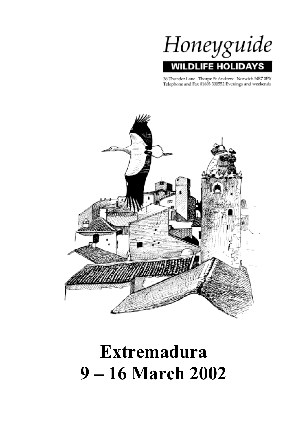

36 Thunder Lane Thorpe St Andrew Norwich NR7 0PX Telephone and Fax 01603 300552 Evenings and weekends



# **Extremadura 9 – 16 March 2002**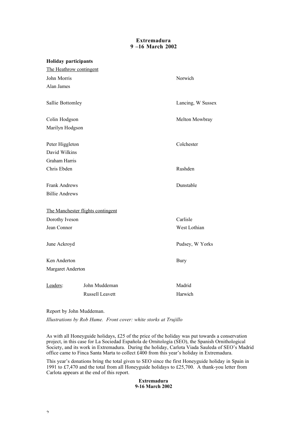# **Extremadura 9 –16 March 2002**

| <b>Holiday participants</b> |                                   |                   |
|-----------------------------|-----------------------------------|-------------------|
| The Heathrow contingent     |                                   |                   |
| John Morris                 |                                   | Norwich           |
| Alan James                  |                                   |                   |
| Sallie Bottomley            |                                   | Lancing, W Sussex |
| Colin Hodgson               |                                   | Melton Mowbray    |
| Marilyn Hodgson             |                                   |                   |
| Peter Higgleton             |                                   | Colchester        |
| David Wilkins               |                                   |                   |
| <b>Graham Harris</b>        |                                   |                   |
| Chris Ebden                 |                                   | Rushden           |
| <b>Frank Andrews</b>        |                                   | Dunstable         |
| <b>Billie Andrews</b>       |                                   |                   |
|                             | The Manchester flights contingent |                   |
| Dorothy Iveson              |                                   | Carlisle          |
| Jean Connor                 |                                   | West Lothian      |
| June Ackroyd                |                                   | Pudsey, W Yorks   |
| Ken Anderton                |                                   | <b>Bury</b>       |
| Margaret Anderton           |                                   |                   |
| Leaders:                    | John Muddeman                     | Madrid            |
|                             | Russell Leavett                   | Harwich           |

Report by John Muddeman.

*Illustrations by Rob Hume. Front cover: white storks at Trujillo*

As with all Honeyguide holidays, £25 of the price of the holiday was put towards a conservation project, in this case for La Sociedad Española de Ornitología (SEO), the Spanish Ornithological Society, and its work in Extremadura. During the holiday, Carlota Viada Sauleda of SEO's Madrid office came to Finca Santa Marta to collect £400 from this year's holiday in Extremadura.

This year's donations bring the total given to SEO since the first Honeyguide holiday in Spain in 1991 to £7,470 and the total from all Honeyguide holidays to £25,700. A thank-you letter from Carlota appears at the end of this report.

# **Extremadura 9-16 March 2002**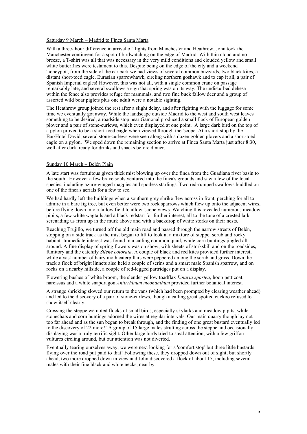## Saturday 9 March – Madrid to Finca Santa Marta

With a three- hour difference in arrival of flights from Manchester and Heathrow, John took the Manchester contingent for a spot of birdwatching on the edge of Madrid. With thin cloud and no breeze, a T-shirt was all that was necessary in the very mild conditions and clouded yellow and small white butterflies were testament to this. Despite being on the edge of the city and a weekend 'honeypot', from the side of the car park we had views of several common buzzards, two black kites, a distant short-toed eagle, Eurasian sparrowhawk, circling northern goshawk and to cap it all, a pair of Spanish Imperial eagles! However, this was not all, with a single common crane on passage remarkably late, and several swallows a sign that spring was on its way. The undisturbed dehesa within the fence also provides refuge for mammals, and two fine buck fallow deer and a group of assorted wild boar piglets plus one adult were a notable sighting.

The Heathrow group joined the rest after a slight delay, and after fighting with the luggage for some time we eventually got away. While the landscape outside Madrid to the west and south west leaves something to be desired, a roadside stop near Gamonal produced a small flock of European golden plover and a pair of stone-curlews, which even displayed at one point. A large dark bird on the top of a pylon proved to be a short-toed eagle when viewed through the 'scope. At a short stop by the Bar/Hotel David, several stone-curlews were seen along with a dozen golden plovers and a short-toed eagle on a pylon. We sped down the remaining section to arrive at Finca Santa Marta just after 8:30, well after dark, ready for drinks and snacks before dinner.

#### Sunday 10 March – Belén Plain

A late start was fortuitous given thick mist blowing up over the finca from the Guadiana river basin to the south. However a few brave souls ventured into the finca's grounds and saw a few of the local species, including azure-winged magpies and spotless starlings. Two red-rumped swallows huddled on one of the finca's aerials for a few to see.

We had hardly left the buildings when a southern grey shrike flew across in front, perching for all to admire in a bare fig tree, but even better were two rock sparrows which flew up onto the adjacent wires, before flying down into a fallow field to allow 'scope views. Watching this revealed numerous meadow pipits, a few white wagtails and a black redstart for further interest, all to the tune of a crested lark serenading us from up in the murk above and with a backdrop of white storks on their nests.

Reaching Trujillo, we turned off the old main road and passed through the narrow streets of Belén, stopping on a side track as the mist began to lift to look at a mixture of steppe, scrub and rocky habitat. Immediate interest was found in a calling common quail, while corn buntings jingled all around. A fine display of spring flowers was on show, with sheets of storksbill and on the roadsides, fumitory and the catchfly *Silene colorata*. A couple of black and red kites provided further interest, while a vast number of hairy moth caterpillars were peppered among the scrub and grass. Down the track a flock of bright linnets also held a couple of serins and a smart male Spanish sparrow, and on rocks on a nearby hillside, a couple of red-legged partridges put on a display.

Flowering bushes of white broom, the slender yellow toadflax *Linaria spartea*, hoop petticoat narcissus and a white snapdragon *Antirrhinum meonanthum* provided further botanical interest.

A strange shrieking slowed our return to the vans (which had been prompted by clearing weather ahead) and led to the discovery of a pair of stone-curlews, though a calling great spotted cuckoo refused to show itself clearly.

Crossing the steppe we noted flocks of small birds, especially skylarks and meadow pipits, while stonechats and corn buntings adorned the wires at regular intervals. Our main quarry though lay not too far ahead and as the sun began to break through, and the finding of one great bustard eventually led to the discovery of 22 more!! A group of 15 large males strutting across the steppe and occasionally displaying was a truly terrific sight. Other large birds tried to steal attention, with a few griffon vultures circling around, but our attention was not diverted.

Eventually tearing ourselves away, we were next looking for a 'comfort stop' but three little bustards flying over the road put paid to that! Following these, they dropped down out of sight, but shortly ahead, two more dropped down in view and John discovered a flock of about 15, including several males with their fine black and white necks, near by.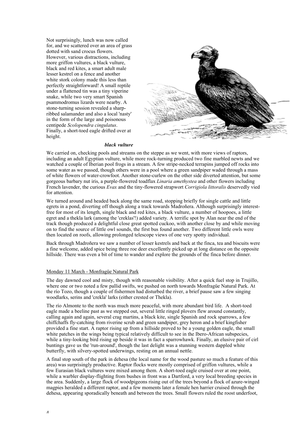Not surprisingly, lunch was now called for, and we scattered over an area of grass dotted with sand crocus flowers. However, various distractions, including more griffon vultures, a black vulture, black and red kites, a smart adult male lesser kestrel on a fence and another white stork colony made this less than perfectly straightforward! A small reptile under a flattened tin was a tiny viperine snake, while two very smart Spanish psammodromus lizards were nearby. A stone-turning session revealed a sharpribbed salamander and also a local 'nasty' in the form of the large and poisonous centipede *Scolopendra cingulatus*. Finally, a short-toed eagle drifted over at height.



#### *black vulture*

We carried on, checking pools and streams on the steppe as we went, with more views of raptors, including an adult Egyptian vulture, while more rock-turning produced two fine marbled newts and we watched a couple of Iberian pool frogs in a stream. A few stripe-necked terrapins jumped off rocks into some water as we passed, though others were in a pool where a green sandpiper waded through a mass of white flowers of water-crowfoot. Another stone-curlew on the other side diverted attention, but some gorgeous barbary nut iris, a purple-flowered toadflax *Linaria amethystea* and other flowers including French lavender, the curious *Evax* and the tiny-flowered strapwort *Corrigiola littoralis* deservedly vied for attention.

We turned around and headed back along the same road, stopping briefly for single cattle and little egrets in a pond, diverting off though along a track towards Madroñera. Although surprisingly interestfree for most of its length, single black and red kites, a black vulture, a number of hoopoes, a little egret and a thekla lark (among the 'creklas'!) added variety. A terrific spot by Alan near the end of the track though produced a delightful close great spotted cuckoo, with another close by and while moving on to find the source of little owl sounds, the first bus found another. Two different little owls were then located on roofs, allowing prolonged telescope views of one very spotty individual.

Back through Madroñera we saw a number of lesser kestrels and back at the finca, tea and biscuits were a fine welcome, added spice being three roe deer excellently picked up at long distance on the opposite hillside. There was even a bit of time to wander and explore the grounds of the finca before dinner.

#### Monday 11 March - Monfragüe Natural Park

The day dawned cool and misty, though with reasonable visibility. After a quick fuel stop in Trujillo, where one or two noted a few pallid swifts, we pushed on north towards Monfragüe Natural Park. At the río Tozo, though a couple of fishermen had disturbed the river, a brief pause saw a few singing woodlarks, serins and 'crekla' larks (either crested or Thekla).

The río Almonte to the north was much more peaceful, with more abundant bird life. A short-toed eagle made a beeline past as we stepped out, several little ringed plovers flew around constantly, calling again and again, several crag martins, a black kite, single Spanish and rock sparrows, a few chiffchaffs fly-catching from riverine scrub and green sandpiper, grey heron and a brief kingfisher provided a fine start. A raptor rising up from a hillside proved to be a young golden eagle, the small white patches in the wings being typical relatively difficult to see in the Ibero-African subspecies, while a tiny-looking bird rising up beside it was in fact a sparrowhawk. Finally, an elusive pair of cirl buntings gave us the 'run-around', though the last delight was a stunning western dappled white butterfly, with silvery-spotted underwings, resting on an annual nettle.

A final stop south of the park in dehesa (the local name for the wood pasture so much a feature of this area) was surprisingly productive. Raptor flocks were mostly comprised of griffon vultures, while a few Eurasian black vultures were mixed among them. A short-toed eagle cruised over at one point, while a warbler display-flighting from bushes in front was a Dartford, a very local breeding species in the area. Suddenly, a large flock of woodpigeons rising out of the trees beyond a flock of azure-winged magpies heralded a different raptor, and a few moments later a female hen harrier cruised through the dehesa, appearing sporadically beneath and between the trees. Small flowers ruled the roost underfoot,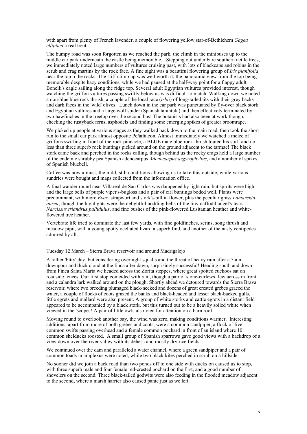with apart from plenty of French lavender, a couple of flowering yellow star-of-Bethlehem *Gagea elliptica* a real treat.

The bumpy road was soon forgotten as we reached the park, the climb in the minibuses up to the middle car park underneath the castle being memorable... Stepping out under bare southern nettle trees, we immediately noted large numbers of vultures cruising past, with lots of blackcaps and robins in the scrub and crag martins by the rock face. A fine sight was a beautiful flowering group of *Iris planifolia* near the top o the rocks. The stiff climb up was well worth it, the panoramic view from the top being memorable despite hazy conditions, while we had paused at the half-way point for a flappy adult Bonelli's eagle sailing along the ridge top. Several adult Egyptian vultures provided interest, though watching the griffon vultures passing swiftly below us was difficult to match. Walking down we noted a non-blue blue rock thrush, a couple of the local race (*irbii*) of long-tailed tits with their grey backs and dark faces in the 'wild' olives. Lunch down in the car park was punctuated by fly-over black stork and Egyptian vultures and a large wolf spider (Spanish tarantula) and then effectively terminated by two hawfinches in the treetop over the second bus! The botanists had also been at work though, checking the rustyback ferns, asphodels and finding some emerging spikes of greater broomrape.

We picked up people at various stages as they walked back down to the main road, then took the short run to the small car park almost opposite Peñafalcon. Almost immediately we watched a melée of griffons swirling in front of the rock pinnacle, a BLUE male blue rock thrush touted his stuff and no less than three superb rock buntings picked around on the ground adjacent to the tarmac! The black stork came back and perched in the rocks calling, though behind us the rocky crags held a large number of the endemic shrubby pea Spanish adenocarpus *Adenocarpus argyrophyllus*, and a number of spikes of Spanish bluebell.

Coffee was now a must, the mild, still conditions allowing us to take this outside, while various sundries were bought and maps collected from the information office.

A final wander round near Villareal de San Carlos was dampened by light rain, but spirits were high and the large bells of purple viper's-bugloss and a pair of cirl buntings boded well. Plants were predominant, with more *Evax*, strapwort and stork's-bill in flower, plus the peculiar grass *Lamarckia aurea*, though the highlights were the delightful nodding bells of the tiny daffodil angel's-tears *Narcissus triandrus pallidulus*, and fine bushes of the pink-flowered Lusitanian heather and whiteflowered tree heather.

Vertebrate life tried to dominate the last few yards, with fine goldfinches, serins, song thrush and meadow pipit, with a young spotty ocellated lizard a superb find, and another of the nasty centipedes admired by all.

## Tuesday 12 March – Sierra Brava reservoir and around Madrigalejo

A rather 'bitty' day, but considering overnight squalls and the threat of heavy rain after a 5 a.m. downpour and thick cloud at the finca after dawn, surprisingly successful! Heading south and down from Finca Santa Marta we headed across the Zorita steppes, where great spotted cuckoos sat on roadside fences. Our first stop coincided with rain, though a pair of stone-curlews flew across in front and a calandra lark walked around on the plough. Shortly ahead we detoured towards the Sierra Brava reservoir, where two breeding plumaged black-necked and dozens of great crested grebes graced the water, a couple of flocks of coots grazed the banks and black-headed and lesser black-backed gulls, little egrets and mallard were also present. A group of white storks and cattle egrets in a distant field appeared to be accompanied by a black stork, but this turned out to be a heavily soiled white when viewed in the 'scopes! A pair of little owls also vied for attention on a barn roof.

Moving round to overlook another bay, the wind was zero, making conditions warmer. Interesting additions, apart from more of both grebes and coots, were a common sandpiper, a flock of five common swifts passing overhead and a female common pochard in front of an island where 10 common shelducks roosted. A small group of Spanish sparrows gave good views with a backdrop of a view down over the river valley with its dehesa and mostly dry rice fields.

We continued over the dam and paralleled a water channel, where a green sandpiper and a pair of common toads in amplexus were noted, while two black kites perched in scrub on a hillside.

No sooner did we join a back road than two ponds off to one side with ducks on caused us to stop, with three superb male and four female red-crested pochard on the first, and a good number of shovelers on the second. Three black-tailed godwits were also feeding in the flooded meadow adjacent to the second, where a marsh harrier also caused panic just as we left.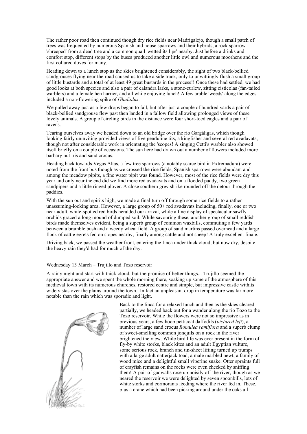The rather poor road then continued though dry rice fields near Madrigalejo, though a small patch of trees was frequented by numerous Spanish and house sparrows and their hybrids, a rock sparrow 'shreeped' from a dead tree and a common quail 'wetted its lips' nearby. Just before a drinks and comfort stop, different stops by the buses produced another little owl and numerous moorhens and the first collared doves for many.

Heading down to a lunch stop as the skies brightened considerably, the sight of two black-bellied sandgrouses flying near the road caused us to take a side track, only to unwittingly flush a small group of little bustards and a total of at least 49 great bustards in the process!! Once these had settled, we had good looks at both species and also a pair of calandra larks, a stone-curlew, zitting cisticolas (fan-tailed warblers) and a female hen harrier, and all while enjoying lunch! A few arable 'weeds' along the edges included a non-flowering spike of *Gladiolus*.

We pulled away just as a few drops began to fall, but after just a couple of hundred yards a pair of black-bellied sandgrouse flew past then landed in a fallow field allowing prolonged views of these lovely animals. A group of circling birds in the distance were four short-toed eagles and a pair of ravens.

Tearing ourselves away we headed down to an old bridge over the río Gargáligas, which though looking fairly uninviting provided views of five penduline tits, a kingfisher and several red avadavats, though not after considerable work in orientating the 'scopes! A singing Cetti's warbler also showed itself briefly on a couple of occasions. The sun here had drawn out a number of flowers included more barbary nut iris and sand crocus.

Heading back towards Vegas Altas, a few tree sparrows (a notably scarce bird in Extremadura) were noted from the front bus though as we crossed the rice fields, Spanish sparrows were abundant and among the meadow pipits, a fine water pipit was found. However, most of the rice fields were dry this year and only near the end did we find more red avadavats and on a flooded paddy, two green sandpipers and a little ringed plover. A close southern grey shrike rounded off the detour through the paddies.

With the sun out and spirits high, we made a final turn off through some rice fields to a rather unassuming-looking area. However, a large group of 50+ red avadavats including, finally, one or two near-adult, white-spotted red birds heralded our arrival, while a fine display of spectacular sawfly orchids graced a long mound of dumped soil. While savouring these, another group of small reddish birds made themselves evident, being a superb group of common waxbills, commuting a few yards between a bramble bush and a weedy wheat field. A group of sand martins passed overhead and a large flock of cattle egrets fed on slopes nearby, finally among cattle and not sheep! A truly excellent finale.

Driving back, we passed the weather front, entering the finca under thick cloud, but now dry, despite the heavy rain they'd had for much of the day.

# Wednesday 13 March – Trujillo and Tozo reservoir

A rainy night and start with thick cloud, but the promise of better things... Trujillo seemed the appropriate answer and we spent the whole morning there, soaking up some of the atmosphere of this medieval town with its numerous churches, restored centre and simple, but impressive castle withits wide vistas over the plains around the town. In fact an unpleasant drop in temperature was far more notable than the rain which was sporadic and light.



Back to the finca for a relaxed lunch and then as the skies cleared partially, we headed back out for a wander along the río Tozo to the Tozo reservoir. While the flowers were not so impressive as in previous years, a few hoop petticoat daffodils (*pictured left*), a number of large sand crocus *Romulea ramiflora* and a superb clump of sweet-smelling common jonquils on a rock in the river brightened the view. While bird life was ever present in the form of fly-by white storks, black kites and an adult Egyptian vulture, some serious rock, branch and tin-sheet lifting turned up trumps with a large adult natterjack toad, a male marbled newt, a family of wood mice and a delightful small viperine snake. Otter spraints full of crayfish remains on the rocks were even checked by sniffing them! A pair of gadwalls rose up noisily off the river, though as we neared the reservoir we were delighted by seven spoonbills, lots of white storks and cormorants feeding where the river fed in. These, plus a crane which had been picking around under the oaks all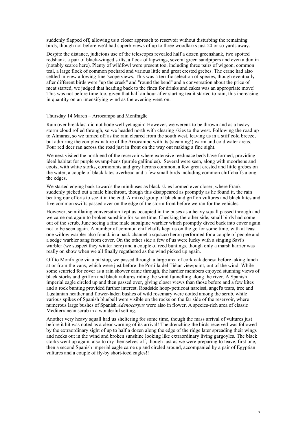suddenly flapped off, allowing us a closer approach to reservoir without disturbing the remaining birds, though not before we'd had superb views of up to three woodlarks just 20 or so yards away.

Despite the distance, judicious use of the telescopes revealed half a dozen greenshank, two spotted redshank, a pair of black-winged stilts, a flock of lapwings, several green sandpipers and even a dunlin (notably scarce here). Plenty of wildfowl were present too, including three pairs of wigeon, common teal, a large flock of common pochard and various little and great crested grebes. The crane had also settled in view allowing fine 'scope views. This was a terrific selection of species, though eventually after different birds were "up the creek" and "round the bend" and a conversation about the price of meat started, we judged that heading back to the finca for drinks and cakes was an appropriate move! This was not before time too, given that half an hour after starting tea it started to rain, this increasing in quantity on an intensifying wind as the evening went on.

#### Thursday 14 March – Arrocampo and Monfragüe

Rain over breakfast did not bode well yet again! However, we weren't to be thrown and as a heavy storm cloud rolled through, so we headed north with clearing skies to the west. Following the road up to Almaraz, so we turned off as the rain cleared from the south west, leaving us in a stiff cold breeze, but admiring the complex nature of the Arrocampo with its (steaming!) warm and cold water areas. Four red deer ran across the road just in front on the way out making a fine sight.

We next visited the north end of the reservoir where extensive reedmace beds have formed, providing ideal habitat for purple swamp-hens (purple gallinules). Several were seen, along with moorhens and coots, with white storks, cormorants and grey herons common, a few great crested and little grebes on the water, a couple of black kites overhead and a few small birds including common chiffchaffs along the edges.

We started edging back towards the minibuses as black skies loomed ever closer, where Frank suddenly picked out a male bluethroat, though this disappeared as promptly as he found it, the rain beating our efforts to see it in the end. A mixed group of black and griffon vultures and black kites and five common swifts passed over on the edge of the storm front before we ran for the vehicles.

However, scintillating conversation kept us occupied in the buses as a heavy squall passed through and we came out again to broken sunshine for some time. Checking the other side, small birds had come out of the scrub, June seeing a fine male subalpine warbler which promptly dived back into cover again not to be seen again. A number of common chiffchaffs kept us on the go for some time, with at least one willow warbler also found, in a back channel a squacco heron performed for a couple of people and a sedge warbler sang from cover. On the other side a few of us were lucky with a singing Savi's warbler (we suspect they winter here) and a couple of reed buntings, though only a marsh harrier was really on show when we all finally regathered as the wind picked up again.

Off to Monfragüe via a pit stop, we passed through a large area of cork oak dehesa before taking lunch at or from the vans, which were just before the Portilla del Tiétar viewpoint, out of the wind. While some scurried for cover as a rain shower came through, the hardier members enjoyed stunning views of black storks and griffon and black vultures riding the wind funnelling along the river. A Spanish imperial eagle circled up and then passed over, giving closer views than those before and a few kites and a rock bunting provided further interest. Roadside hoop-petticoat narcissi, angel's tears, tree and Lusitanian heather and flower-laden bushes of wild rosemary were dotted among the scrub, while various spikes of Spanish bluebell were visible on the rocks on the far side of the reservoir, where numerous large bushes of Spanish *Adenocarpus* were also in flower. A species-rich area of classic Mediterranean scrub in a wonderful setting.

Another very heavy squall had us sheltering for some time, though the mass arrival of vultures just before it hit was noted as a clear warning of its arrival! The drenching the birds received was followed by the extraordinary sight of up to half a dozen along the edge of the ridge later spreading their wings and necks out in the wind and broken sunshine looking like extraordinary living gargoyles. The black storks went up again, also to dry themselves off, though just as we were preparing to leave, first one, then a second Spanish imperial eagle came up and circled around, accompanied by a pair of Egyptian vultures and a couple of fly-by short-toed eagles!!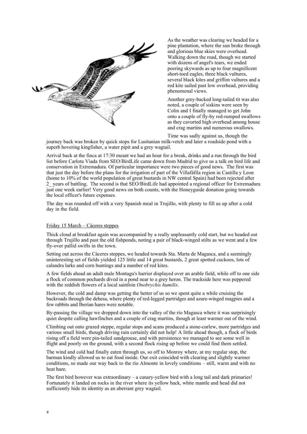

As the weather was clearing we headed for a pine plantation, where the sun broke through and glorious blue skies were overhead. Walking down the road, though we started with dozens of angel's tears, we ended peering skywards as up to four magnificent short-toed eagles, three black vultures, several black kites and griffon vultures and a red kite sailed past low overhead, providing phenomenal views.

Another grey-backed long-tailed tit was also noted, a couple of siskins were seen by Colin and I finally managed to get John onto a couple of fly-by red-rumped swallows as they cavorted high overhead among house and crag martins and numerous swallows.

Time was sadly against us, though the journey back was broken by quick stops for Lusitanian milk-vetch and later a roadside pond with a superb hovering kingfisher, a water pipit and a grey wagtail.

Arrival back at the finca at 17:30 meant we had an hour for a break, drinks and a run through the bird list before Carlota Viada from SEO/BirdLife came down from Madrid to give us a talk on bird life and conservation in Extremadura. Of particular importance were two pieces of good news. The first was that just the day before the plans for the irrigation of part of the Villafáfila region in Castilla y Leon (home to 10% of the world population of great bustards in NW central Spain) had been rejected after 2\_ years of battling. The second is that SEO/BirdLife had appointed a regional officer for Extremadura just one week earlier! Very good news on both counts, with the Honeyguide donation going towards the local officer's future expenses.

The day was rounded off with a very Spanish meal in Trujillo, with plenty to fill us up after a cold day in the field.

#### Friday 15 March – Cáceres steppes

Thick cloud at breakfast again was accompanied by a really unpleasantly cold start, but we headed out through Trujillo and past the old fishponds, noting a pair of black-winged stilts as we went and a few fly-over pallid swifts in the town.

Setting out across the Cáceres steppes, we headed towards Sta. Marta de Magasca, and a seemingly uninteresting set of fields yielded 125 little and 14 great bustards, 2 great spotted cuckoos, lots of calandra larks and corn buntings and a number of red kites.

A few fields ahead an adult male Montagu's harrier displayed over an arable field, while off to one side a flock of common pochards dived in a pond near to a grey heron. The trackside here was peppered with the reddish flowers of a local sainfoin *Onobrychis humilis*.

However, the cold and damp was getting the better of us so we spent quite a while cruising the backroads through the dehesa, where plenty of red-legged partridges and azure-winged magpies and a few rabbits and Iberian hares were notable.

By-passing the village we dropped down into the valley of the río Magasca where it was surprisingly quiet despite calling hawfinches and a couple of crag martins, though at least warmer out of the wind.

Climbing out onto grazed steppe, regular stops and scans produced a stone-curlew, more partridges and various small birds, though driving rain certainly did not help! A little ahead though, a flock of birds rising off a field were pin-tailed sandgrouse, and with persistence we managed to see some well in flight and poorly on the ground, with a second flock rising up before we could find them settled.

The wind and cold had finally eaten through us, so off to Monroy where, at my regular stop, the barman kindly allowed us to eat food inside. Our exit coincided with clearing and slightly warmer conditions, so made our way back to the río Almonte in lovely conditions – still, warm and with no heat haze.

The first bird however was extraordinary – a canary-yellow bird with a long tail and dark primaries! Fortunately it landed on rocks in the river where its yellow back, white mantle and head did not sufficiently hide its identity as an aberrant grey wagtail.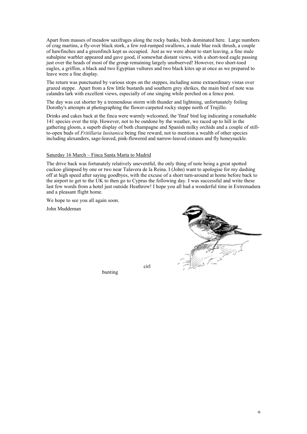Apart from masses of meadow saxifrages along the rocky banks, birds dominated here. Large numbers of crag martins, a fly-over black stork, a few red-rumped swallows, a male blue rock thrush, a couple of hawfinches and a greenfinch kept us occupied. Just as we were about to start leaving, a fine male subalpine warbler appeared and gave good, if somewhat distant views, with a short-toed eagle passing just over the heads of most of the group remaining largely unobserved! However, two short-toed eagles, a griffon, a black and two Egyptian vultures and two black kites up at once as we prepared to leave were a fine display.

The return was punctuated by various stops on the steppes, including some extraordinary vistas over grazed steppe. Apart from a few little bustards and southern grey shrikes, the main bird of note was calandra lark with excellent views, especially of one singing while perched on a fence post.

The day was cut shorter by a tremendous storm with thunder and lightning, unfortunately foiling Dorothy's attempts at photographing the flower-carpeted rocky steppe north of Trujillo.

Drinks and cakes back at the finca were warmly welcomed, the 'final' bird log indicating a remarkable 141 species over the trip. However, not to be outdone by the weather, we raced up to hill in the gathering gloom, a superb display of both champagne and Spanish milky orchids and a couple of stillto-open buds of *Fritillaria lusitanica* being fine reward, not to mention a wealth of other species including alexanders, sage-leaved, pink-flowered and narrow-leaved cistuses and fly honeysuckle.

#### Saturday 16 March – Finca Santa Marta to Madrid

The drive back was fortunately relatively uneventful, the only thing of note being a great spotted cuckoo glimpsed by one or two near Talavera de la Reina. I (John) want to apologise for my dashing off at high speed after saying goodbyes, with the excuse of a short turn-around at home before back to the airport to get to the UK to then go to Cyprus the following day. I was successful and write these last few words from a hotel just outside Heathrow! I hope you all had a wonderful time in Extremadura and a pleasant flight home.

cirl

We hope to see you all again soon.

John Muddeman



bunting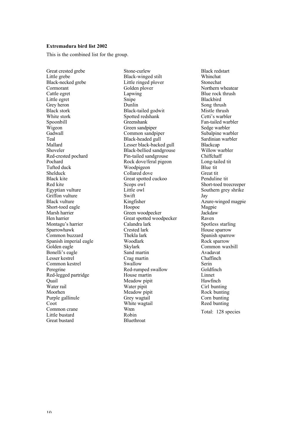#### **Extremadura bird list 2002**

This is the combined list for the group.

Great crested grebe Little grebe Black-necked grebe Cormorant Cattle egret Little egret Grey heron Black stork White stork Spoonbill Wigeon **Gadwall** Teal Mallard Shoveler Red-crested pochard Pochard Tufted duck Shelduck Black kite Red kite Egyptian vulture Griffon vulture Black vulture Short-toed eagle Marsh harrier Hen harrier Montagu's harrier Sparrowhawk Common buzzard Spanish imperial eagle Golden eagle Bonelli's eagle Lesser kestrel Common kestrel Peregrine Red-legged partridge **Ouail** Water rail Moorhen Purple gallinule Coot Common crane Little bustard Great bustard

Stone-curlew Black-winged stilt Little ringed plover Golden plover Lapwing Snipe Dunlin Black-tailed godwit Spotted redshank Greenshank Green sandpiper Common sandpiper Black-headed gull Lesser black-backed gull Black-bellied sandgrouse Pin-tailed sandgrouse Rock dove/feral pigeon Woodpigeon Collared dove Great spotted cuckoo Scops owl Little owl Swift Kingfisher Hoopoe Green woodpecker Great spotted woodpecker Calandra lark Crested lark Thekla lark Woodlark Skylark Sand martin Crag martin Swallow Red-rumped swallow House martin Meadow pipit Water pipit Meadow pipit Grey wagtail White wagtail Wren Robin Bluethroat

Black redstart Whinchat Stonechat Northern wheatear Blue rock thrush Blackbird Song thrush Mistle thrush Cetti's warbler Fan-tailed warbler Sedge warbler Subalpine warbler Sardinian warbler Blackcap Willow warbler Chiffchaff Long-tailed tit Blue tit Great tit Penduline tit Short-toed treecreeper Southern grey shrike Jay Azure-winged magpie Magpie **Jackdaw** Raven Spotless starling House sparrow Spanish sparrow Rock sparrow Common waxbill Avadavat Chaffinch Serin Goldfinch Linnet Hawfinch Cirl bunting Rock bunting Corn bunting Reed bunting Total: 128 species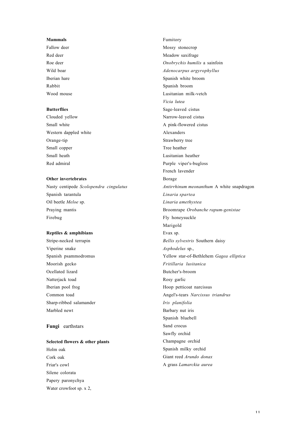# **Mammals**

Fallow deer Red deer Roe deer Wild boar Iberian hare Rabbit Wood mouse

#### **Butterflies**

Clouded yellow Small white Western dappled white Orange-tip Small copper Small heath Red admiral

# **Other invertebrates**

Nasty centipede *Scolopendra cingulatus* Spanish tarantula Oil beetle *Meloe* sp. Praying mantis Firebug

## **Reptiles & amphibians**

Stripe-necked terrapin Viperine snake Spanish psammodromus Moorish gecko Ocellated lizard Natterjack toad Iberian pool frog Common toad Sharp-ribbed salamander Marbled newt

# **Fungi** earthstars

# **Selected flowers & other plants**

Holm oak Cork oak Friar's cowl Silene colorata Papery paronychya Water crowfoot sp. x 2, Fumitory Mossy stonecrop Meadow saxifrage *Onobrychis humilis* a sainfoin *Adenocarpus argyrophyllus* Spanish white broom Spanish broom Lusitanian milk-vetch *Vicia lutea* Sage-leaved cistus Narrow-leaved cistus A pink-flowered cistus Alexanders Strawberry tree Tree heather Lusitanian heather Purple viper's-bugloss French lavender Borage *Antirrhinum meonanthum* A white snapdragon *Linaria spartea Linaria amethystea* Broomrape *Orobanche rapum-genistae* Fly honeysuckle Marigold Evax sp. *Bellis sylvestris* Southern daisy *Asphodelus* sp., Yellow star-of-Bethlehem *Gagea elliptica Fritillaria lusitanica* Butcher's-broom Rosy garlic Hoop petticoat narcissus Angel's-tears *Narcissus triandrus Iris planifolia* Barbary nut iris Spanish bluebell Sand crocus Sawfly orchid Champagne orchid Spanish milky orchid Giant reed *Arundo donax* A grass *Lamarckia aurea*